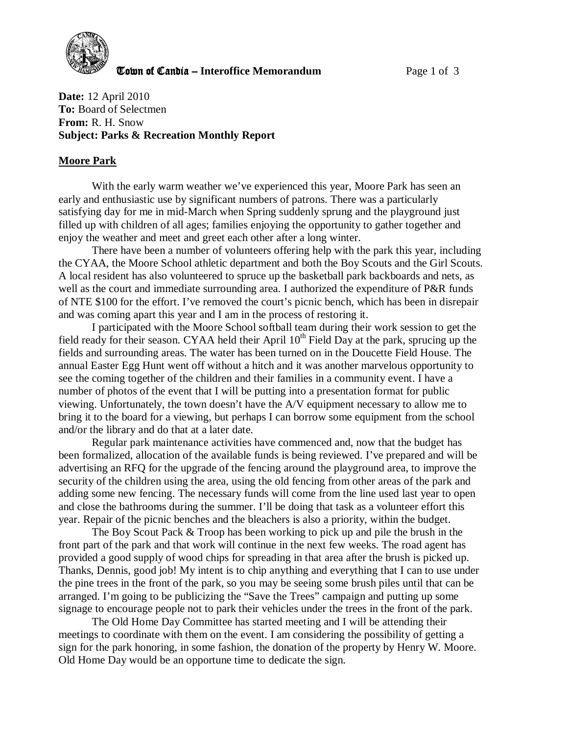

**The United Candia – Interoffice Memorandum Page 1 of 3** 

**Date:** 12 April 2010 **To:** Board of Selectmen **From:** R. H. Snow **Subject: Parks & Recreation Monthly Report** 

#### **Moore Park**

With the early warm weather we've experienced this year, Moore Park has seen an early and enthusiastic use by significant numbers of patrons. There was a particularly satisfying day for me in mid-March when Spring suddenly sprung and the playground just filled up with children of all ages; families enjoying the opportunity to gather together and enjoy the weather and meet and greet each other after a long winter.

There have been a number of volunteers offering help with the park this year, including the CYAA, the Moore School athletic department and both the Boy Scouts and the Girl Scouts. A local resident has also volunteered to spruce up the basketball park backboards and nets, as well as the court and immediate surrounding area. I authorized the expenditure of P&R funds of NTE \$100 for the effort. I've removed the court's picnic bench, which has been in disrepair and was coming apart this year and I am in the process of restoring it.

I participated with the Moore School softball team during their work session to get the field ready for their season. CYAA held their April 10<sup>th</sup> Field Day at the park, sprucing up the fields and surrounding areas. The water has been turned on in the Doucette Field House. The annual Easter Egg Hunt went off without a hitch and it was another marvelous opportunity to see the coming together of the children and their families in a community event. I have a number of photos of the event that I will be putting into a presentation format for public viewing. Unfortunately, the town doesn't have the A/V equipment necessary to allow me to bring it to the board for a viewing, but perhaps I can borrow some equipment from the school and/or the library and do that at a later date.

Regular park maintenance activities have commenced and, now that the budget has been formalized, allocation of the available funds is being reviewed. I've prepared and will be advertising an RFQ for the upgrade of the fencing around the playground area, to improve the security of the children using the area, using the old fencing from other areas of the park and adding some new fencing. The necessary funds will come from the line used last year to open and close the bathrooms during the summer. I'll be doing that task as a volunteer effort this year. Repair of the picnic benches and the bleachers is also a priority, within the budget.

The Boy Scout Pack & Troop has been working to pick up and pile the brush in the front part of the park and that work will continue in the next few weeks. The road agent has provided a good supply of wood chips for spreading in that area after the brush is picked up. Thanks, Dennis, good job! My intent is to chip anything and everything that I can to use under the pine trees in the front of the park, so you may be seeing some brush piles until that can be arranged. I'm going to be publicizing the "Save the Trees" campaign and putting up some signage to encourage people not to park their vehicles under the trees in the front of the park.

The Old Home Day Committee has started meeting and I will be attending their meetings to coordinate with them on the event. I am considering the possibility of getting a sign for the park honoring, in some fashion, the donation of the property by Henry W. Moore. Old Home Day would be an opportune time to dedicate the sign.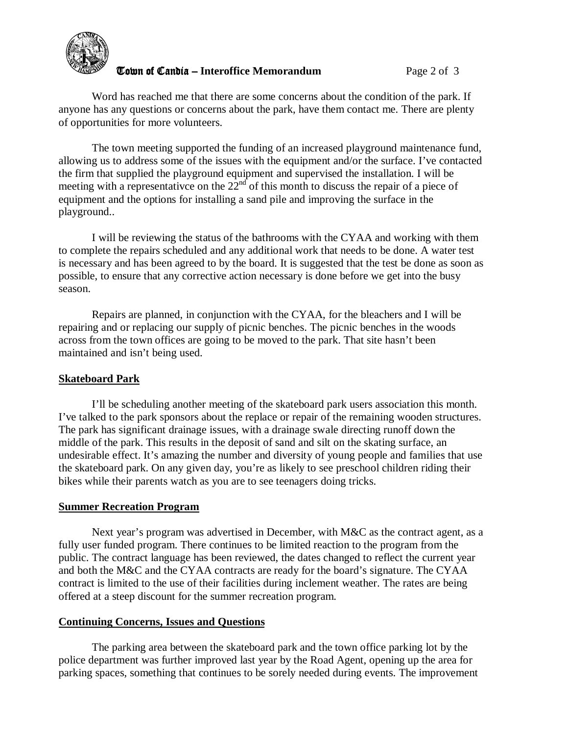

## **The United Candia – Interoffice Memorandum** *Page 2 of 3*

Word has reached me that there are some concerns about the condition of the park. If anyone has any questions or concerns about the park, have them contact me. There are plenty of opportunities for more volunteers.

The town meeting supported the funding of an increased playground maintenance fund, allowing us to address some of the issues with the equipment and/or the surface. I've contacted the firm that supplied the playground equipment and supervised the installation. I will be meeting with a representative on the  $22<sup>nd</sup>$  of this month to discuss the repair of a piece of equipment and the options for installing a sand pile and improving the surface in the playground..

I will be reviewing the status of the bathrooms with the CYAA and working with them to complete the repairs scheduled and any additional work that needs to be done. A water test is necessary and has been agreed to by the board. It is suggested that the test be done as soon as possible, to ensure that any corrective action necessary is done before we get into the busy season.

Repairs are planned, in conjunction with the CYAA, for the bleachers and I will be repairing and or replacing our supply of picnic benches. The picnic benches in the woods across from the town offices are going to be moved to the park. That site hasn't been maintained and isn't being used.

## **Skateboard Park**

 I'll be scheduling another meeting of the skateboard park users association this month. I've talked to the park sponsors about the replace or repair of the remaining wooden structures. The park has significant drainage issues, with a drainage swale directing runoff down the middle of the park. This results in the deposit of sand and silt on the skating surface, an undesirable effect. It's amazing the number and diversity of young people and families that use the skateboard park. On any given day, you're as likely to see preschool children riding their bikes while their parents watch as you are to see teenagers doing tricks.

## **Summer Recreation Program**

Next year's program was advertised in December, with M&C as the contract agent, as a fully user funded program. There continues to be limited reaction to the program from the public. The contract language has been reviewed, the dates changed to reflect the current year and both the M&C and the CYAA contracts are ready for the board's signature. The CYAA contract is limited to the use of their facilities during inclement weather. The rates are being offered at a steep discount for the summer recreation program.

# **Continuing Concerns, Issues and Questions**

The parking area between the skateboard park and the town office parking lot by the police department was further improved last year by the Road Agent, opening up the area for parking spaces, something that continues to be sorely needed during events. The improvement